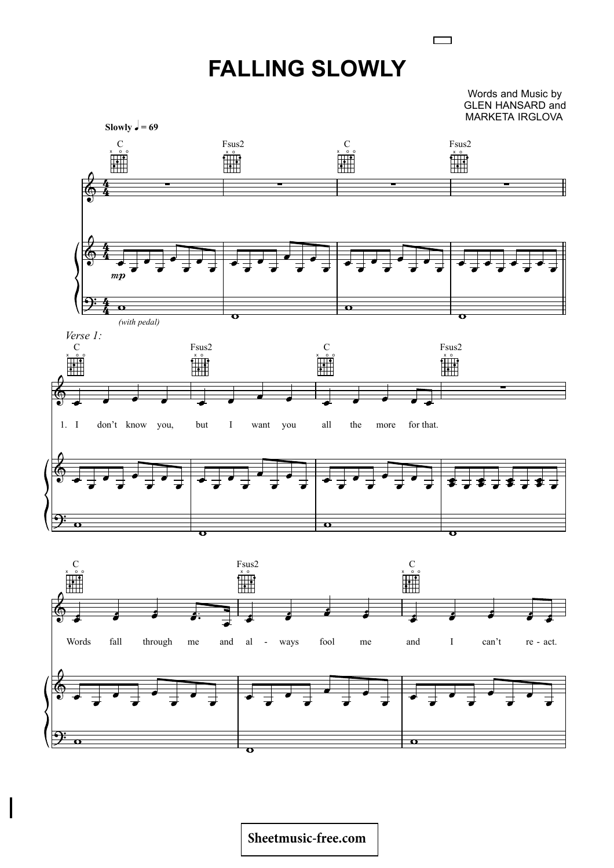## **FALLING SLOWLY**

Words and Music by GLEN HANSARD and MARKETA IRGLOVA

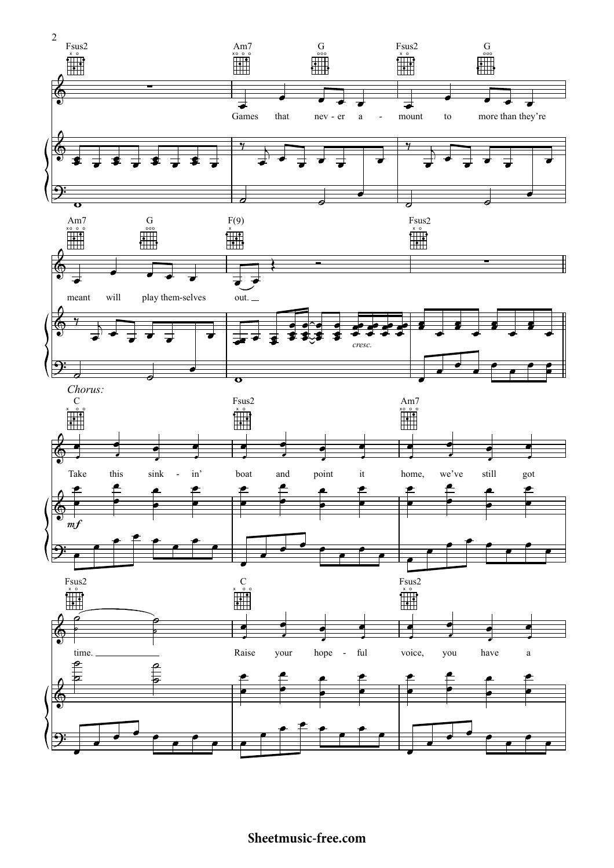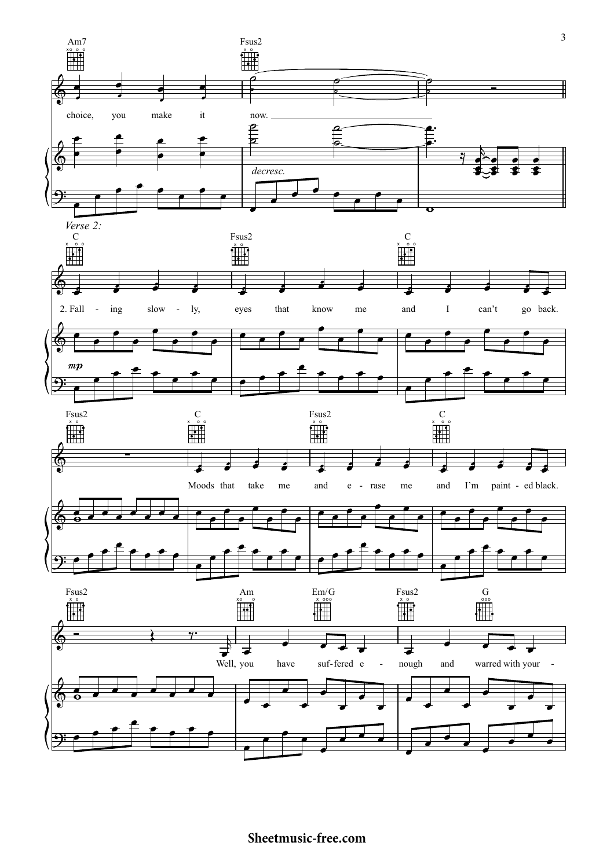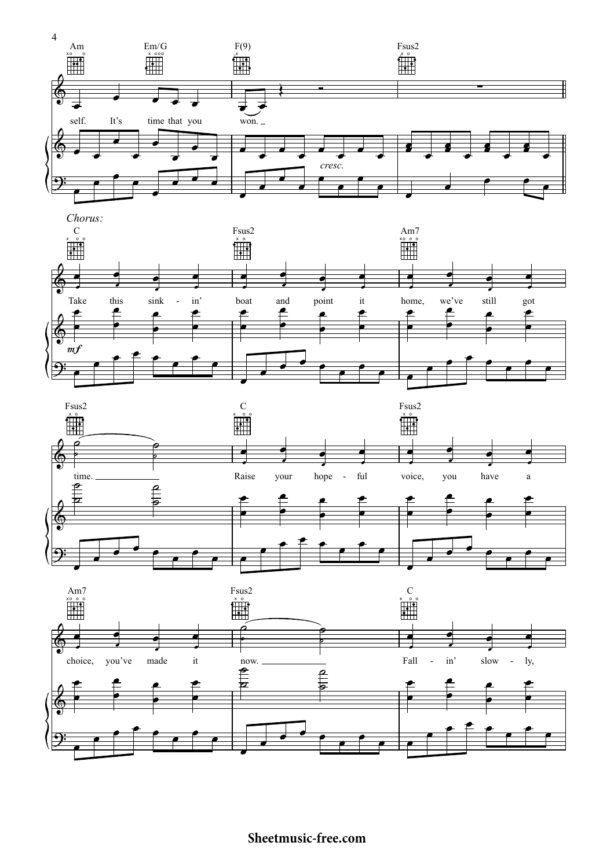





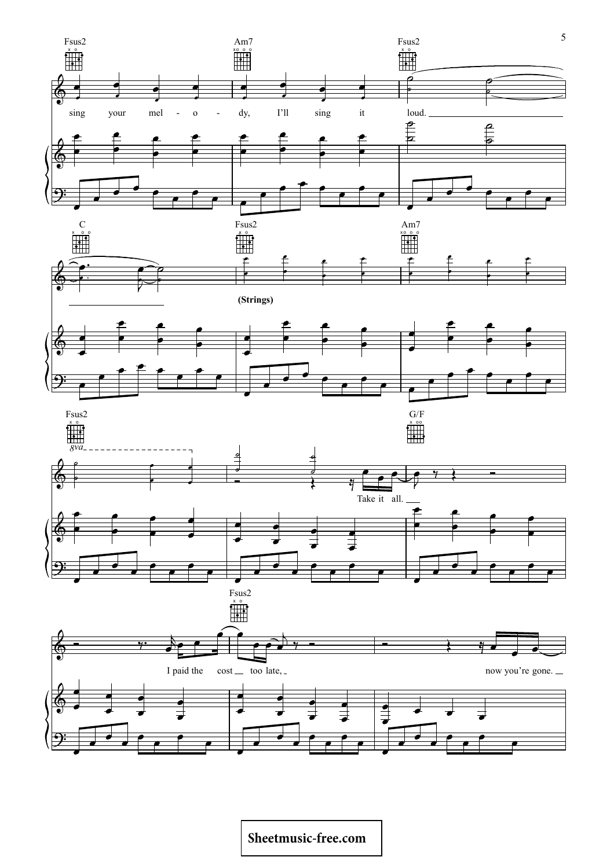